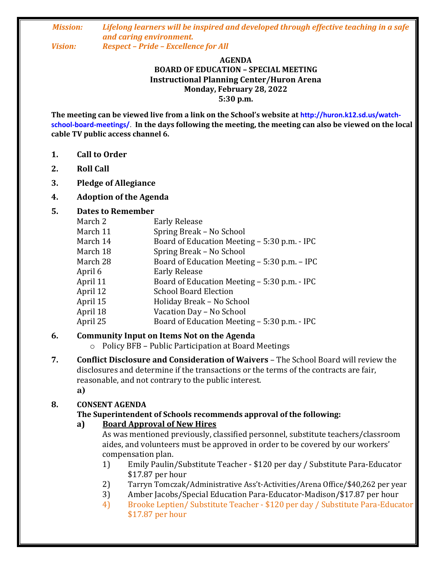#### *Mission: Lifelong learners will be inspired and developed through effective teaching in a safe and caring environment. Vision: Respect – Pride – Excellence for All*

### **AGENDA BOARD OF EDUCATION – SPECIAL MEETING Instructional Planning Center/Huron Arena Monday, February 28, 2022**

**5:30 p.m.**

**The meeting can be viewed live from a link on the School's website at http://huron.k12.sd.us/watchschool-board-meetings/**. **In the days following the meeting, the meeting can also be viewed on the local cable TV public access channel 6.**

- **1. Call to Order**
- **2. Roll Call**
- **3. Pledge of Allegiance**
- **4. Adoption of the Agenda**

#### **5. Dates to Remember**

| March 2  | <b>Early Release</b>                         |
|----------|----------------------------------------------|
| March 11 | Spring Break - No School                     |
| March 14 | Board of Education Meeting - 5:30 p.m. - IPC |
| March 18 | Spring Break - No School                     |
| March 28 | Board of Education Meeting – 5:30 p.m. – IPC |
| April 6  | <b>Early Release</b>                         |
| April 11 | Board of Education Meeting – 5:30 p.m. - IPC |
| April 12 | <b>School Board Election</b>                 |
| April 15 | Holiday Break - No School                    |
| April 18 | Vacation Day - No School                     |
| April 25 | Board of Education Meeting – 5:30 p.m. - IPC |

### **6. Community Input on Items Not on the Agenda**

- o Policy BFB Public Participation at Board Meetings
- **7. Conflict Disclosure and Consideration of Waivers**  The School Board will review the disclosures and determine if the transactions or the terms of the contracts are fair, reasonable, and not contrary to the public interest.
	- **a)**

### **8. CONSENT AGENDA**

### **The Superintendent of Schools recommends approval of the following:**

### **a) Board Approval of New Hires**

As was mentioned previously, classified personnel, substitute teachers/classroom aides, and volunteers must be approved in order to be covered by our workers' compensation plan.

- 1) Emily Paulin/Substitute Teacher \$120 per day / Substitute Para-Educator \$17.87 per hour
- 2) Tarryn Tomczak/Administrative Ass't-Activities/Arena Office/\$40,262 per year
- 3) Amber Jacobs/Special Education Para-Educator-Madison/\$17.87 per hour
- 4) Brooke Leptien/ Substitute Teacher \$120 per day / Substitute Para-Educator \$17.87 per hour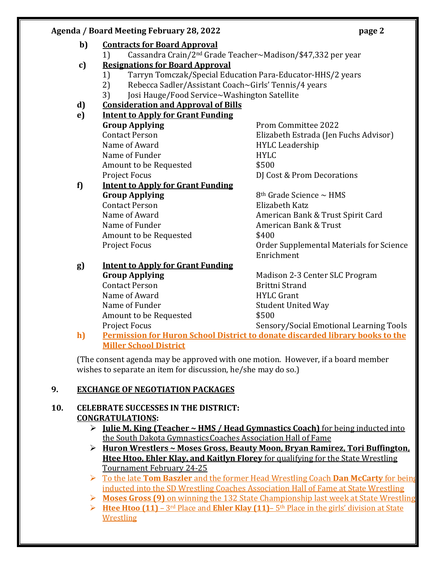### **Agenda / Board Meeting February 28, 2022 page 2**

#### **b) Contracts for Board Approval** 1) Cassandra Crain/2nd Grade Teacher~Madison/\$47,332 per year **c) Resignations for Board Approval** 1) Tarryn Tomczak/Special Education Para-Educator-HHS/2 years 2) Rebecca Sadler/Assistant Coach~Girls' Tennis/4 years 3) Josi Hauge/Food Service~Washington Satellite **d) Consideration and Approval of Bills e) Intent to Apply for Grant Funding Group Applying** Prom Committee 2022 Contact Person Elizabeth Estrada (Jen Fuchs Advisor) Name of Award **HYLC Leadership** Name of Funder **HYLC** Amount to be Requested  $$500$ Project Focus **DI** Cost & Prom Decorations **f) Intent to Apply for Grant Funding Group Applying** 8<sup>th</sup> Grade Science ~ HMS Contact Person Elizabeth Katz Name of Award **American Bank & Trust Spirit Card** Name of Funder **American Bank & Trust** Amount to be Requested  $$400$ Project Focus Order Supplemental Materials for Science Enrichment **g) Intent to Apply for Grant Funding Group Applying** Madison 2-3 Center SLC Program Contact Person **Brittni** Strand Name of Award **HYLC Grant** Name of Funder Student United Way

Project Focus **Sensory/Social Emotional Learning Tools h) Permission for Huron School District to donate discarded library books to the Miller School District** 

(The consent agenda may be approved with one motion. However, if a board member wishes to separate an item for discussion, he/she may do so.)

Amount to be Requested  $$500$ 

### **9. EXCHANGE OF NEGOTIATION PACKAGES**

### **10. CELEBRATE SUCCESSES IN THE DISTRICT: CONGRATULATIONS:**

- **Julie M. King (Teacher ~ HMS / Head Gymnastics Coach)** for being inducted into the South Dakota GymnasticsCoaches Association Hall of Fame
- **Huron Wrestlers ~ Moses Gross, Beauty Moon, Bryan Ramirez, Tori Buffington, Htee Htoo, Ehler Klay, and Kaitlyn Florey** for qualifying for the State Wrestling Tournament February 24-25
- To the late **Tom Baszler** and the former Head Wrestling Coach **Dan McCarty** for being inducted into the SD Wrestling Coaches Association Hall of Fame at State Wrestling
- **Moses Gross (9)** on winning the 132 State Championship last week at State Wrestling
- **Htee Htoo (11)** 3rd Place and **Ehler Klay (11)** 5th Place in the girls' division at State Wrestling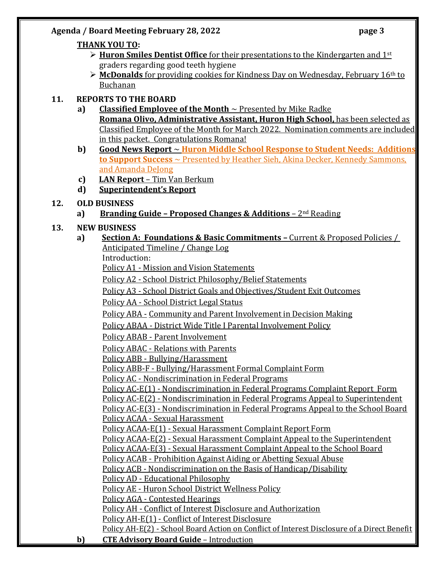### **Agenda / Board Meeting February 28, 2022 page 3**

### **THANK YOU TO:**

- **► Huron Smiles Dentist Office** for their presentations to the Kindergarten and 1<sup>st</sup> graders regarding good teeth hygiene
- **McDonalds** for providing cookies for Kindness Day on Wednesday, February 16th to Buchanan

# **11. REPORTS TO THE BOARD**

- **a) Classified Employee of the Month** ~ Presented by Mike Radke **Romana Olivo, Administrative Assistant, Huron High School,** has been selected as Classified Employee of the Month for March 2022. Nomination comments are included in this packet. Congratulations Romana!
- **b) Good News Report** ~ **Huron Middle School Response to Student Needs: Additions to Support Success** ~ Presented by Heather Sieh, Akina Decker, Kennedy Sammons, and Amanda DeJong
- **c) LAN Report** Tim Van Berkum
- **d) Superintendent's Report**
- **12. OLD BUSINESS**
	- **a) Branding Guide – Proposed Changes & Additions** 2nd Reading

# **13. NEW BUSINESS**

**a) Section A: Foundations & Basic Commitments –** Current & Proposed Policies / Anticipated Timeline / Change Log

Introduction:

Policy A1 - Mission and Vision Statements

Policy A2 - School District Philosophy/Belief Statements

Policy A3 - School District Goals and Objectives/Student Exit Outcomes

Policy AA - School District Legal Status

Policy ABA - Community and Parent Involvement in Decision Making

Policy ABAA - District Wide Title I Parental Involvement Policy

Policy ABAB - Parent Involvement

Policy ABAC - Relations with Parents

Policy ABB - Bullying/Harassment

Policy ABB-F - Bullying/Harassment Formal Complaint Form

Policy AC - Nondiscrimination in Federal Programs

Policy AC-E(1) - Nondiscrimination in Federal Programs Complaint Report Form Policy AC-E(2) - Nondiscrimination in Federal Programs Appeal to Superintendent

Policy AC-E(3) - Nondiscrimination in Federal Programs Appeal to the School Board Policy ACAA - Sexual Harassment

Policy ACAA-E(1) - Sexual Harassment Complaint Report Form

Policy ACAA-E(2) - Sexual Harassment Complaint Appeal to the Superintendent

Policy ACAA-E(3) - Sexual Harassment Complaint Appeal to the School Board

Policy ACAB - Prohibition Against Aiding or Abetting Sexual Abuse

Policy ACB - Nondiscrimination on the Basis of Handicap/Disability

Policy AD - Educational Philosophy

Policy AE - Huron School District Wellness Policy

Policy AGA - Contested Hearings

Policy AH - Conflict of Interest Disclosure and Authorization

Policy AH-E(1) - Conflict of Interest Disclosure

Policy AH-E(2) - School Board Action on Conflict of Interest Disclosure of a Direct Benefit

**b) CTE Advisory Board Guide** – Introduction